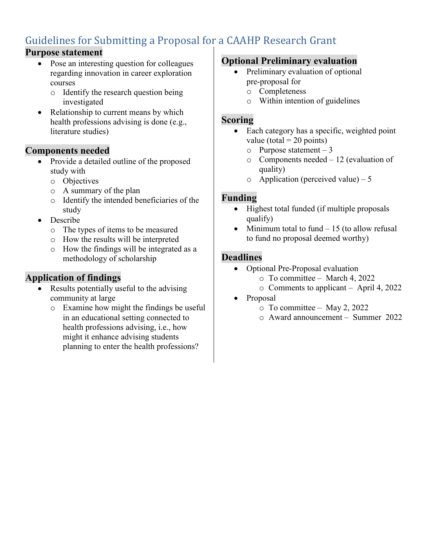# Guidelines for Submitting a Proposal for a CAAHP Research Grant

#### **Purpose statement**

- Pose an interesting question for colleagues regarding innovation in career exploration courses
	- o Identify the research question being investigated
- Relationship to current means by which health professions advising is done (e.g., literature studies)

#### **Components needed**

- Provide a detailed outline of the proposed study with
	- o Objectives
	- o A summary of the plan
	- o Identify the intended beneficiaries of the study
- Describe
	- o The types of items to be measured
	- o How the results will be interpreted
	- o How the findings will be integrated as a methodology of scholarship

## **Application of findings**

- Results potentially useful to the advising community at large
	- o Examine how might the findings be useful in an educational setting connected to health professions advising, i.e., how might it enhance advising students planning to enter the health professions?

#### **Optional Preliminary evaluation**

- Preliminary evaluation of optional pre-proposal for
	- o Completeness
	- o Within intention of guidelines

#### **Scoring**

- Each category has a specific, weighted point value (total  $= 20$  points)
	- o Purpose statement 3
	- o Components needed 12 (evaluation of quality)
	- $\circ$  Application (perceived value) 5

#### **Funding**

- Highest total funded (if multiple proposals qualify)
- Minimum total to fund  $-15$  (to allow refusal to fund no proposal deemed worthy)

#### **Deadlines**

- Optional Pre-Proposal evaluation
	- o To committee March 4, 2022
	- o Comments to applicant April 4, 2022
- Proposal
	- o To committee May 2, 2022
	- o Award announcement Summer 2022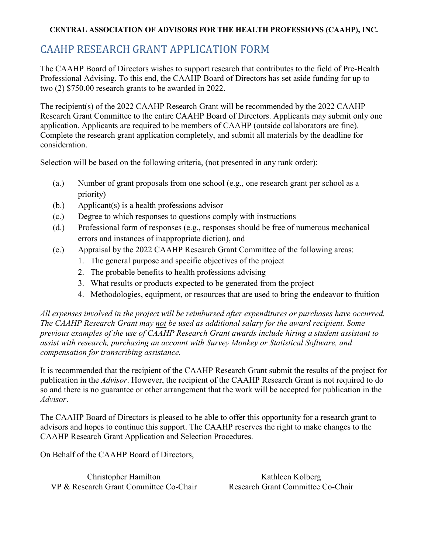#### **CENTRAL ASSOCIATION OF ADVISORS FOR THE HEALTH PROFESSIONS (CAAHP), INC.**

## CAAHP RESEARCH GRANT APPLICATION FORM

The CAAHP Board of Directors wishes to support research that contributes to the field of Pre-Health Professional Advising. To this end, the CAAHP Board of Directors has set aside funding for up to two (2) \$750.00 research grants to be awarded in 2022.

The recipient(s) of the 2022 CAAHP Research Grant will be recommended by the 2022 CAAHP Research Grant Committee to the entire CAAHP Board of Directors. Applicants may submit only one application. Applicants are required to be members of CAAHP (outside collaborators are fine). Complete the research grant application completely, and submit all materials by the deadline for consideration.

Selection will be based on the following criteria, (not presented in any rank order):

- (a.) Number of grant proposals from one school (e.g., one research grant per school as a priority)
- (b.) Applicant(s) is a health professions advisor
- (c.) Degree to which responses to questions comply with instructions
- (d.) Professional form of responses (e.g., responses should be free of numerous mechanical errors and instances of inappropriate diction), and
- (e.) Appraisal by the 2022 CAAHP Research Grant Committee of the following areas:
	- 1. The general purpose and specific objectives of the project
	- 2. The probable benefits to health professions advising
	- 3. What results or products expected to be generated from the project
	- 4. Methodologies, equipment, or resources that are used to bring the endeavor to fruition

*All expenses involved in the project will be reimbursed after expenditures or purchases have occurred. The CAAHP Research Grant may not be used as additional salary for the award recipient. Some previous examples of the use of CAAHP Research Grant awards include hiring a student assistant to assist with research, purchasing an account with Survey Monkey or Statistical Software, and compensation for transcribing assistance.*

It is recommended that the recipient of the CAAHP Research Grant submit the results of the project for publication in the *Advisor*. However, the recipient of the CAAHP Research Grant is not required to do so and there is no guarantee or other arrangement that the work will be accepted for publication in the *Advisor*.

The CAAHP Board of Directors is pleased to be able to offer this opportunity for a research grant to advisors and hopes to continue this support. The CAAHP reserves the right to make changes to the CAAHP Research Grant Application and Selection Procedures.

On Behalf of the CAAHP Board of Directors,

Christopher Hamilton Kathleen Kolberg VP & Research Grant Committee Co-Chair Research Grant Committee Co-Chair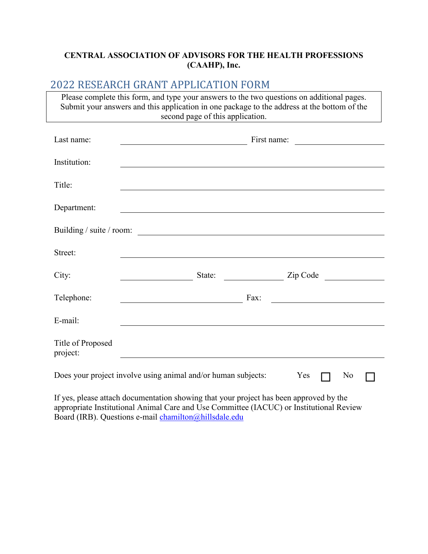#### **CENTRAL ASSOCIATION OF ADVISORS FOR THE HEALTH PROFESSIONS (CAAHP), Inc.**

### 2022 RESEARCH GRANT APPLICATION FORM

Please complete this form, and type your answers to the two questions on additional pages. Submit your answers and this application in one package to the address at the bottom of the second page of this application.

| Last name:                    | First name:<br><u> 1989 - John Harry Harry Harry Harry Harry Harry Harry Harry Harry Harry Harry Harry Harry Harry Harry Harry</u>                                                |  |  |  |
|-------------------------------|-----------------------------------------------------------------------------------------------------------------------------------------------------------------------------------|--|--|--|
| Institution:                  |                                                                                                                                                                                   |  |  |  |
| Title:                        |                                                                                                                                                                                   |  |  |  |
| Department:                   |                                                                                                                                                                                   |  |  |  |
|                               | Building / suite / room:                                                                                                                                                          |  |  |  |
| Street:                       |                                                                                                                                                                                   |  |  |  |
| City:                         | State: <u>Zip Code</u>                                                                                                                                                            |  |  |  |
| Telephone:                    | Fax:<br><u> 1989 - Jan Stein Stein Stein Stein Stein Stein Stein Stein Stein Stein Stein Stein Stein Stein Stein Stein S</u><br><u> 1989 - Johann Barbara, martxa alemaniar a</u> |  |  |  |
| E-mail:                       |                                                                                                                                                                                   |  |  |  |
| Title of Proposed<br>project: |                                                                                                                                                                                   |  |  |  |
|                               | Does your project involve using animal and/or human subjects:<br>Yes<br>No                                                                                                        |  |  |  |

If yes, please attach documentation showing that your project has been approved by the appropriate Institutional Animal Care and Use Committee (IACUC) or Institutional Review Board (IRB). Questions e-mail [chamilton@hillsdale.edu](mailto:chamilton@hillsdale.edu)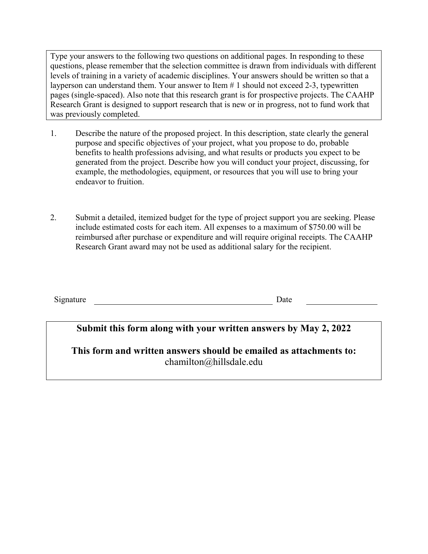Type your answers to the following two questions on additional pages. In responding to these questions, please remember that the selection committee is drawn from individuals with different levels of training in a variety of academic disciplines. Your answers should be written so that a layperson can understand them. Your answer to Item # 1 should not exceed 2-3, typewritten pages (single-spaced). Also note that this research grant is for prospective projects. The CAAHP Research Grant is designed to support research that is new or in progress, not to fund work that was previously completed.

- 1. Describe the nature of the proposed project. In this description, state clearly the general purpose and specific objectives of your project, what you propose to do, probable benefits to health professions advising, and what results or products you expect to be generated from the project. Describe how you will conduct your project, discussing, for example, the methodologies, equipment, or resources that you will use to bring your endeavor to fruition.
- 2. Submit a detailed, itemized budget for the type of project support you are seeking. Please include estimated costs for each item. All expenses to a maximum of \$750.00 will be reimbursed after purchase or expenditure and will require original receipts. The CAAHP Research Grant award may not be used as additional salary for the recipient.

**Submit this form along with your written answers by May 2, 2022**

**This form and written answers should be emailed as attachments to:** chamilton@hillsdale.edu